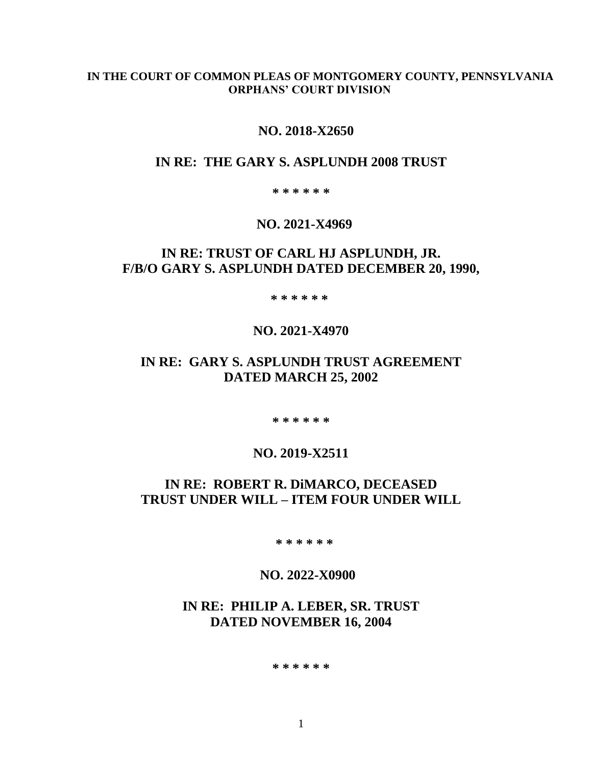#### **IN THE COURT OF COMMON PLEAS OF MONTGOMERY COUNTY, PENNSYLVANIA ORPHANS' COURT DIVISION**

### **NO. 2018-X2650**

### **IN RE: THE GARY S. ASPLUNDH 2008 TRUST**

**\* \* \* \* \* \***

### **NO. 2021-X4969**

# **IN RE: TRUST OF CARL HJ ASPLUNDH, JR. F/B/O GARY S. ASPLUNDH DATED DECEMBER 20, 1990,**

 **\* \* \* \* \* \***

### **NO. 2021-X4970**

# **IN RE: GARY S. ASPLUNDH TRUST AGREEMENT DATED MARCH 25, 2002**

**\* \* \* \* \* \***

### **NO. 2019-X2511**

# **IN RE: ROBERT R. DiMARCO, DECEASED TRUST UNDER WILL – ITEM FOUR UNDER WILL**

 **\* \* \* \* \* \***

### **NO. 2022-X0900**

# **IN RE: PHILIP A. LEBER, SR. TRUST DATED NOVEMBER 16, 2004**

#### **\* \* \* \* \* \***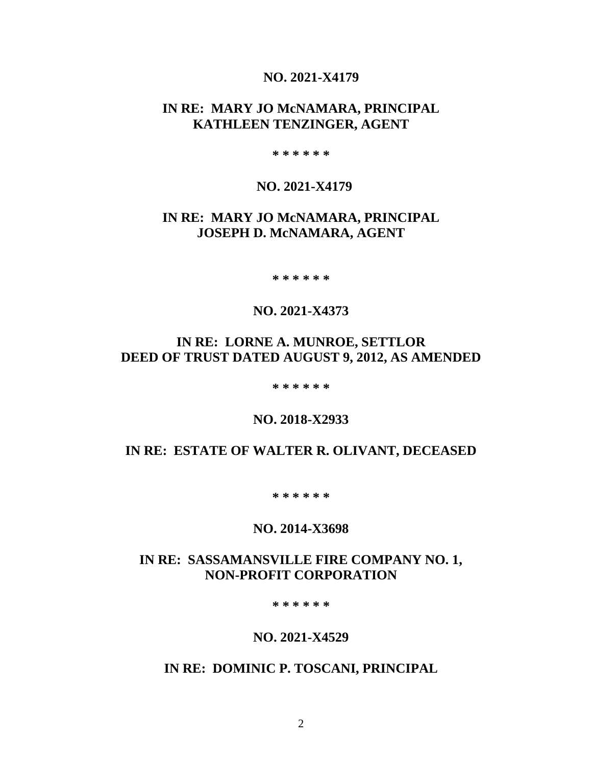### **NO. 2021-X4179**

# **IN RE: MARY JO McNAMARA, PRINCIPAL KATHLEEN TENZINGER, AGENT**

**\* \* \* \* \* \***

### **NO. 2021-X4179**

# **IN RE: MARY JO McNAMARA, PRINCIPAL JOSEPH D. McNAMARA, AGENT**

**\* \* \* \* \* \***

### **NO. 2021-X4373**

# **IN RE: LORNE A. MUNROE, SETTLOR DEED OF TRUST DATED AUGUST 9, 2012, AS AMENDED**

**\* \* \* \* \* \***

**NO. 2018-X2933**

## **IN RE: ESTATE OF WALTER R. OLIVANT, DECEASED**

**\* \* \* \* \* \***

#### **NO. 2014-X3698**

### **IN RE: SASSAMANSVILLE FIRE COMPANY NO. 1, NON-PROFIT CORPORATION**

**\* \* \* \* \* \***

### **NO. 2021-X4529**

# **IN RE: DOMINIC P. TOSCANI, PRINCIPAL**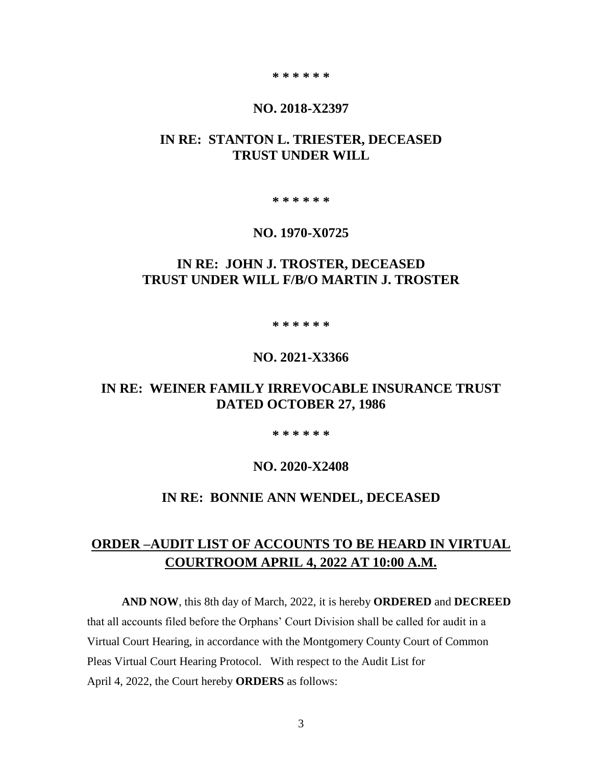#### **\* \* \* \* \* \***

#### **NO. 2018-X2397**

# **IN RE: STANTON L. TRIESTER, DECEASED TRUST UNDER WILL**

**\* \* \* \* \* \***

#### **NO. 1970-X0725**

# **IN RE: JOHN J. TROSTER, DECEASED TRUST UNDER WILL F/B/O MARTIN J. TROSTER**

#### **\* \* \* \* \* \***

### **NO. 2021-X3366**

### **IN RE: WEINER FAMILY IRREVOCABLE INSURANCE TRUST DATED OCTOBER 27, 1986**

#### **\* \* \* \* \* \***

#### **NO. 2020-X2408**

#### **IN RE: BONNIE ANN WENDEL, DECEASED**

# **ORDER –AUDIT LIST OF ACCOUNTS TO BE HEARD IN VIRTUAL COURTROOM APRIL 4, 2022 AT 10:00 A.M.**

**AND NOW**, this 8th day of March, 2022, it is hereby **ORDERED** and **DECREED** that all accounts filed before the Orphans' Court Division shall be called for audit in a Virtual Court Hearing, in accordance with the Montgomery County Court of Common Pleas Virtual Court Hearing Protocol. With respect to the Audit List for April 4, 2022, the Court hereby **ORDERS** as follows: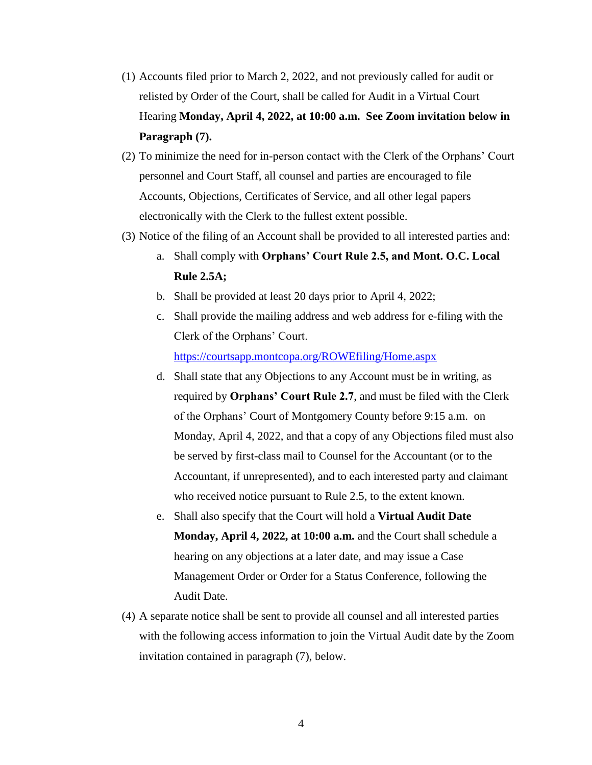- (1) Accounts filed prior to March 2, 2022, and not previously called for audit or relisted by Order of the Court, shall be called for Audit in a Virtual Court Hearing **Monday, April 4, 2022, at 10:00 a.m. See Zoom invitation below in Paragraph (7).**
- (2) To minimize the need for in-person contact with the Clerk of the Orphans' Court personnel and Court Staff, all counsel and parties are encouraged to file Accounts, Objections, Certificates of Service, and all other legal papers electronically with the Clerk to the fullest extent possible.
- (3) Notice of the filing of an Account shall be provided to all interested parties and:
	- a. Shall comply with **Orphans' Court Rule 2.5, and Mont. O.C. Local Rule 2.5A;**
	- b. Shall be provided at least 20 days prior to April 4, 2022;
	- c. Shall provide the mailing address and web address for e-filing with the Clerk of the Orphans' Court.

<https://courtsapp.montcopa.org/ROWEfiling/Home.aspx>

- d. Shall state that any Objections to any Account must be in writing, as required by **Orphans' Court Rule 2.7**, and must be filed with the Clerk of the Orphans' Court of Montgomery County before 9:15 a.m. on Monday, April 4, 2022, and that a copy of any Objections filed must also be served by first-class mail to Counsel for the Accountant (or to the Accountant, if unrepresented), and to each interested party and claimant who received notice pursuant to Rule 2.5, to the extent known.
- e. Shall also specify that the Court will hold a **Virtual Audit Date Monday, April 4, 2022, at 10:00 a.m.** and the Court shall schedule a hearing on any objections at a later date, and may issue a Case Management Order or Order for a Status Conference, following the Audit Date.
- (4) A separate notice shall be sent to provide all counsel and all interested parties with the following access information to join the Virtual Audit date by the Zoom invitation contained in paragraph (7), below.